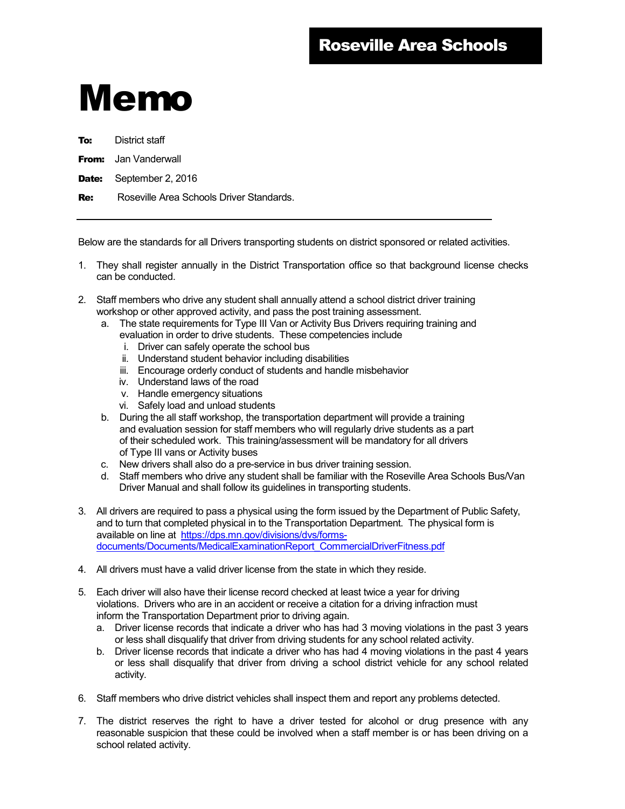## Memo

**To:** District staff

**From:** Jan Vanderwall

Date: September 2, 2016

Re: Roseville Area Schools Driver Standards.

Below are the standards for all Drivers transporting students on district sponsored or related activities.

- 1. They shall register annually in the District Transportation office so that background license checks can be conducted.
- 2. Staff members who drive any student shall annually attend a school district driver training workshop or other approved activity, and pass the post training assessment.
	- a. The state requirements for Type III Van or Activity Bus Drivers requiring training and evaluation in order to drive students. These competencies include
		- i. Driver can safely operate the school bus
		- ii. Understand student behavior including disabilities
		- iii. Encourage orderly conduct of students and handle misbehavior
		- iv. Understand laws of the road
		- v. Handle emergency situations
		- vi. Safely load and unload students
	- b. During the all staff workshop, the transportation department will provide a training and evaluation session for staff members who will regularly drive students as a part of their scheduled work. This training/assessment will be mandatory for all drivers of Type III vans or Activity buses
	- c. New drivers shall also do a pre-service in bus driver training session.
	- d. Staff members who drive any student shall be familiar with the Roseville Area Schools Bus/Van Driver Manual and shall follow its guidelines in transporting students.
- 3. All drivers are required to pass a physical using the form issued by the Department of Public Safety, and to turn that completed physical in to the Transportation Department. The physical form is available on line at https://dps.mn.gov/divisions/dvs/formsdocuments/Documents/MedicalExaminationReport\_CommercialDriverFitness.pdf
- 4. All drivers must have a valid driver license from the state in which they reside.
- 5. Each driver will also have their license record checked at least twice a year for driving violations. Drivers who are in an accident or receive a citation for a driving infraction must inform the Transportation Department prior to driving again.
	- a. Driver license records that indicate a driver who has had 3 moving violations in the past 3 years or less shall disqualify that driver from driving students for any school related activity.
	- b. Driver license records that indicate a driver who has had 4 moving violations in the past 4 years or less shall disqualify that driver from driving a school district vehicle for any school related activity.
- 6. Staff members who drive district vehicles shall inspect them and report any problems detected.
- 7. The district reserves the right to have a driver tested for alcohol or drug presence with any reasonable suspicion that these could be involved when a staff member is or has been driving on a school related activity.